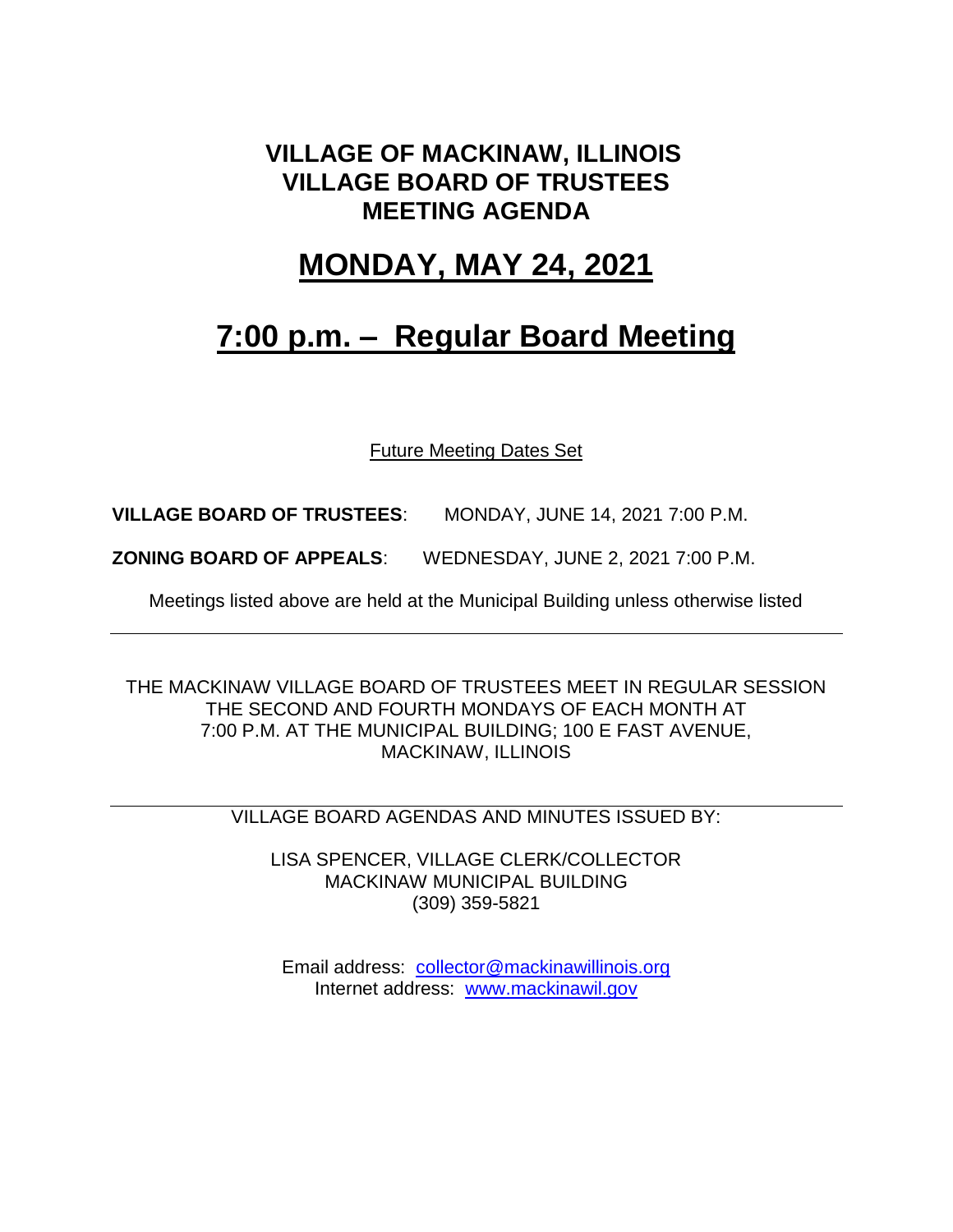### **VILLAGE OF MACKINAW, ILLINOIS VILLAGE BOARD OF TRUSTEES MEETING AGENDA**

### **MONDAY, MAY 24, 2021**

## **7:00 p.m. – Regular Board Meeting**

Future Meeting Dates Set

**VILLAGE BOARD OF TRUSTEES**: MONDAY, JUNE 14, 2021 7:00 P.M.

**ZONING BOARD OF APPEALS**: WEDNESDAY, JUNE 2, 2021 7:00 P.M.

Meetings listed above are held at the Municipal Building unless otherwise listed

THE MACKINAW VILLAGE BOARD OF TRUSTEES MEET IN REGULAR SESSION THE SECOND AND FOURTH MONDAYS OF EACH MONTH AT 7:00 P.M. AT THE MUNICIPAL BUILDING; 100 E FAST AVENUE, MACKINAW, ILLINOIS

VILLAGE BOARD AGENDAS AND MINUTES ISSUED BY:

LISA SPENCER, VILLAGE CLERK/COLLECTOR MACKINAW MUNICIPAL BUILDING (309) 359-5821

Email address: [collector@mackinawillinois.org](mailto:collector@mackinawillinois.org) Internet address: [www.mackinawil.gov](http://www.mackinawil.gov/)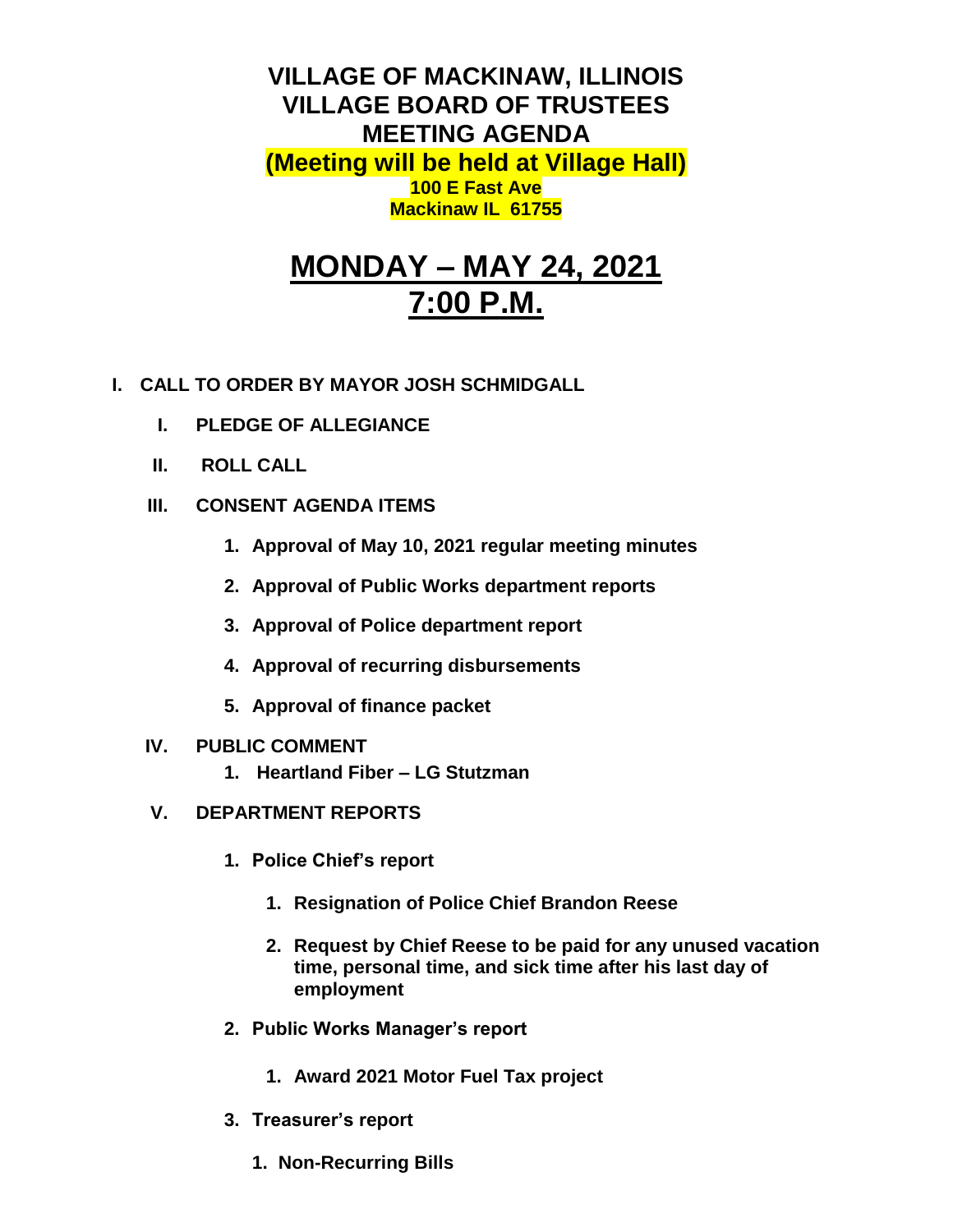**VILLAGE OF MACKINAW, ILLINOIS VILLAGE BOARD OF TRUSTEES MEETING AGENDA (Meeting will be held at Village Hall) 100 E Fast Ave Mackinaw IL 61755**

# **MONDAY – MAY 24, 2021 7:00 P.M.**

- **I. CALL TO ORDER BY MAYOR JOSH SCHMIDGALL**
	- **I. PLEDGE OF ALLEGIANCE**
	- **II. ROLL CALL**
	- **III. CONSENT AGENDA ITEMS** 
		- **1. Approval of May 10, 2021 regular meeting minutes**
		- **2. Approval of Public Works department reports**
		- **3. Approval of Police department report**
		- **4. Approval of recurring disbursements**
		- **5. Approval of finance packet**
	- **IV. PUBLIC COMMENT**
		- **1. Heartland Fiber – LG Stutzman**
	- **V. DEPARTMENT REPORTS** 
		- **1. Police Chief's report**
			- **1. Resignation of Police Chief Brandon Reese**
			- **2. Request by Chief Reese to be paid for any unused vacation time, personal time, and sick time after his last day of employment**
		- **2. Public Works Manager's report**
			- **1. Award 2021 Motor Fuel Tax project**
		- **3. Treasurer's report** 
			- **1. Non-Recurring Bills**